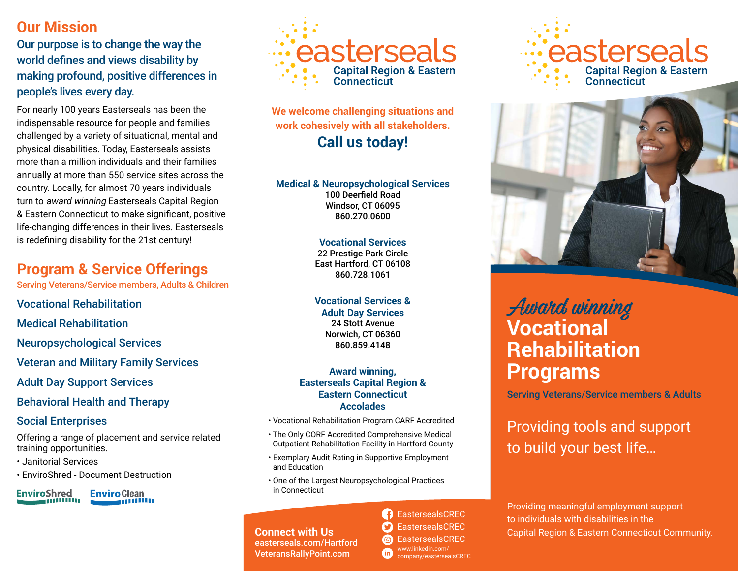# **Our Mission**

Our purpose is to change the way the world defines and views disability by making profound, positive differences in people's lives every day.

For nearly 100 years Easterseals has been the indispensable resource for people and families challenged by a variety of situational, mental and physical disabilities. Today, Easterseals assists more than a million individuals and their families annually at more than 550 service sites across the country. Locally, for almost 70 years individuals turn to award winning Easterseals Capital Region & Eastern Connecticut to make significant, positive life-changing differences in their lives. Easterseals is redefining disability for the 21st century!

# **Program & Service Offerings**

Serving Veterans/Service members, Adults & Children

Vocational Rehabilitation

Medical Rehabilitation

Neuropsychological Services

Veteran and Military Family Services

Adult Day Support Services

Behavioral Health and Therapy

## Social Enterprises

Offering a range of placement and service related training opportunities.

- Janitorial Services
- EnviroShred Document Destruction





**We welcome challenging situations and work cohesively with all stakeholders. Call us today!**

**Medical & Neuropsychological Services** 100 Deerfield Road Windsor, CT 06095 860.270.0600

#### **Vocational Services** 22 Prestige Park Circle East Hartford, CT 06108 860.728.1061

**Vocational Services & Adult Day Services** 24 Stott Avenue Norwich, CT 06360 860.859.4148

#### **Award winning, Easterseals Capital Region & Eastern Connecticut Accolades**

- Vocational Rehabilitation Program CARF Accredited
- The Only CORF Accredited Comprehensive Medical Outpatient Rehabilitation Facility in Hartford County
- Exemplary Audit Rating in Supportive Employment and Education
- One of the Largest Neuropsychological Practices in Connecticut

**B** EastersealsCREC **EastersealsCREC** company/eastersealsCREC

# asterseals **Capital Region & Eastern Connecticut**



# Award winning **Vocational Rehabilitation Programs**

Serving Veterans/Service members & Adults

# Providing tools and support to build your best life…

Providing meaningful employment support to individuals with disabilities in the Capital Region & Eastern Connecticut Community.

**Connect with Us**<br> **Connect with Us**<br> **Connect with Us**<br> **Connect with Us**<br> **Connect with Us**<br> **Connect with Us**<br> **Connect With Us** easterseals.com/Hartford VeteransRallyPoint.com